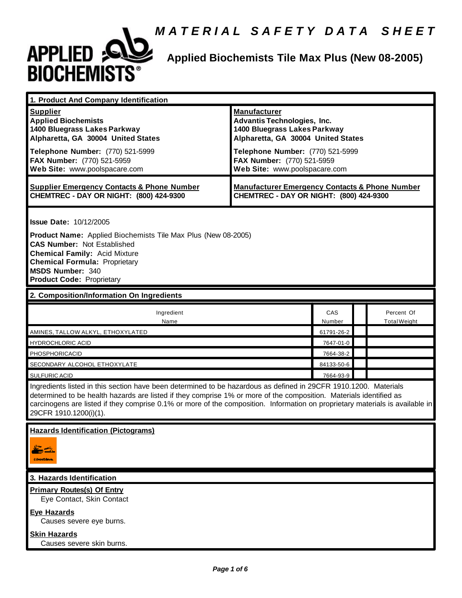

# **Applied Biochemists Tile Max Plus (New 08-2005)**

| 1. Product And Company Identification                                                                                                                                                                                                                                                                                                                                                             |                                                                                                                                                                                                                                    |               |  |                                   |  |
|---------------------------------------------------------------------------------------------------------------------------------------------------------------------------------------------------------------------------------------------------------------------------------------------------------------------------------------------------------------------------------------------------|------------------------------------------------------------------------------------------------------------------------------------------------------------------------------------------------------------------------------------|---------------|--|-----------------------------------|--|
| <b>Supplier</b><br><b>Applied Biochemists</b><br>1400 Bluegrass Lakes Parkway<br>Alpharetta, GA 30004 United States<br>Telephone Number: (770) 521-5999<br>FAX Number: (770) 521-5959<br>Web Site: www.poolspacare.com                                                                                                                                                                            | <b>Manufacturer</b><br><b>Advantis Technologies, Inc.</b><br>1400 Bluegrass Lakes Parkway<br>Alpharetta, GA 30004 United States<br>Telephone Number: (770) 521-5999<br>FAX Number: (770) 521-5959<br>Web Site: www.poolspacare.com |               |  |                                   |  |
| <b>Supplier Emergency Contacts &amp; Phone Number</b><br>CHEMTREC - DAY OR NIGHT: (800) 424-9300                                                                                                                                                                                                                                                                                                  | <b>Manufacturer Emergency Contacts &amp; Phone Number</b><br>CHEMTREC - DAY OR NIGHT: (800) 424-9300                                                                                                                               |               |  |                                   |  |
| <b>Issue Date: 10/12/2005</b><br><b>Product Name:</b> Applied Biochemists Tile Max Plus (New 08-2005)                                                                                                                                                                                                                                                                                             |                                                                                                                                                                                                                                    |               |  |                                   |  |
| <b>CAS Number: Not Established</b><br><b>Chemical Family: Acid Mixture</b><br><b>Chemical Formula: Proprietary</b><br><b>MSDS Number: 340</b><br><b>Product Code: Proprietary</b>                                                                                                                                                                                                                 |                                                                                                                                                                                                                                    |               |  |                                   |  |
| 2. Composition/Information On Ingredients                                                                                                                                                                                                                                                                                                                                                         |                                                                                                                                                                                                                                    |               |  |                                   |  |
| Ingredient<br>Name                                                                                                                                                                                                                                                                                                                                                                                |                                                                                                                                                                                                                                    | CAS<br>Number |  | Percent Of<br><b>Total Weight</b> |  |
| AMINES, TALLOW ALKYL, ETHOXYLATED                                                                                                                                                                                                                                                                                                                                                                 |                                                                                                                                                                                                                                    | 61791-26-2    |  |                                   |  |
| <b>HYDROCHLORIC ACID</b>                                                                                                                                                                                                                                                                                                                                                                          |                                                                                                                                                                                                                                    | 7647-01-0     |  |                                   |  |
| <b>PHOSPHORICACID</b>                                                                                                                                                                                                                                                                                                                                                                             |                                                                                                                                                                                                                                    | 7664-38-2     |  |                                   |  |
| SECONDARY ALCOHOL ETHOXYLATE                                                                                                                                                                                                                                                                                                                                                                      |                                                                                                                                                                                                                                    | 84133-50-6    |  |                                   |  |
| <b>SULFURIC ACID</b>                                                                                                                                                                                                                                                                                                                                                                              |                                                                                                                                                                                                                                    | 7664-93-9     |  |                                   |  |
| Ingredients listed in this section have been determined to be hazardous as defined in 29CFR 1910.1200. Materials<br>determined to be health hazards are listed if they comprise 1% or more of the composition. Materials identified as<br>carcinogens are listed if they comprise 0.1% or more of the composition. Information on proprietary materials is available in<br>29CFR 1910.1200(i)(1). |                                                                                                                                                                                                                                    |               |  |                                   |  |
| <u> Hazards identification (Pictograms)</u><br>como Lava                                                                                                                                                                                                                                                                                                                                          |                                                                                                                                                                                                                                    |               |  |                                   |  |
| 3. Hazards Identification                                                                                                                                                                                                                                                                                                                                                                         |                                                                                                                                                                                                                                    |               |  |                                   |  |
| <b>Primary Routes(s) Of Entry</b><br>Eye Contact, Skin Contact                                                                                                                                                                                                                                                                                                                                    |                                                                                                                                                                                                                                    |               |  |                                   |  |
| <b>Eye Hazards</b><br>Causes severe eye burns.                                                                                                                                                                                                                                                                                                                                                    |                                                                                                                                                                                                                                    |               |  |                                   |  |
| <b>Skin Hazards</b><br>Causes severe skin burns.                                                                                                                                                                                                                                                                                                                                                  |                                                                                                                                                                                                                                    |               |  |                                   |  |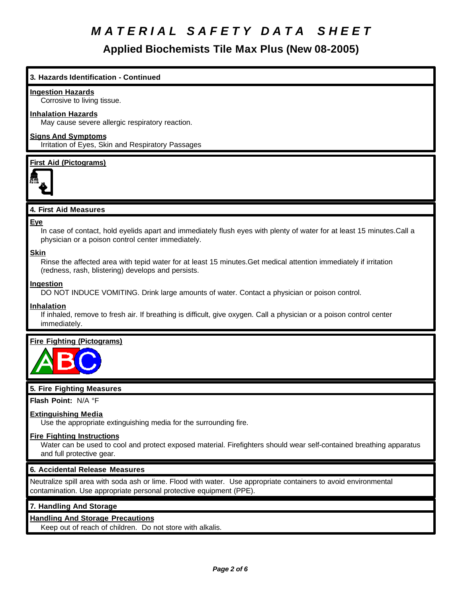**Applied Biochemists Tile Max Plus (New 08-2005)**

#### **3. Hazards Identification - Continued**

#### **Ingestion Hazards**

Corrosive to living tissue.

#### **Inhalation Hazards**

May cause severe allergic respiratory reaction.

#### **Signs And Symptoms**

Irritation of Eyes, Skin and Respiratory Passages

#### **First Aid (Pictograms)**



#### **4. First Aid Measures**

#### **Eye**

In case of contact, hold eyelids apart and immediately flush eyes with plenty of water for at least 15 minutes.Call a physician or a poison control center immediately.

#### **Skin**

Rinse the affected area with tepid water for at least 15 minutes.Get medical attention immediately if irritation (redness, rash, blistering) develops and persists.

#### **Ingestion**

DO NOT INDUCE VOMITING. Drink large amounts of water. Contact a physician or poison control.

#### **Inhalation**

If inhaled, remove to fresh air. If breathing is difficult, give oxygen. Call a physician or a poison control center immediately.

#### **Fire Fighting (Pictograms)**



#### **5. Fire Fighting Measures**

**Flash Point:** N/A °F

#### **Extinguishing Media**

Use the appropriate extinguishing media for the surrounding fire.

#### **Fire Fighting Instructions**

Water can be used to cool and protect exposed material. Firefighters should wear self-contained breathing apparatus and full protective gear.

#### **6. Accidental Release Measures**

Neutralize spill area with soda ash or lime. Flood with water. Use appropriate containers to avoid environmental contamination. Use appropriate personal protective equipment (PPE).

#### **7. Handling And Storage**

#### **Handling And Storage Precautions**

Keep out of reach of children. Do not store with alkalis.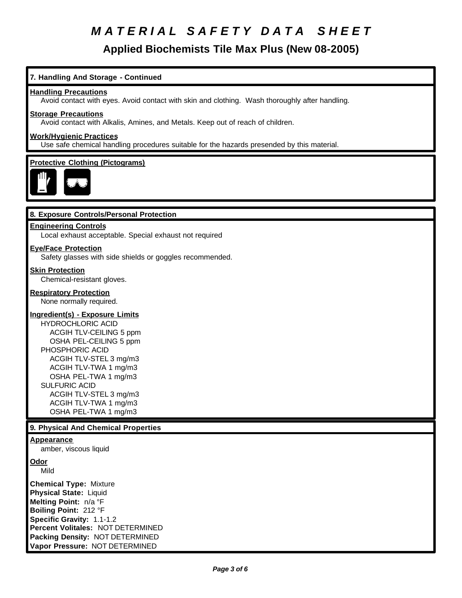**Applied Biochemists Tile Max Plus (New 08-2005)**

#### **7. Handling And Storage - Continued**

#### **Handling Precautions**

Avoid contact with eyes. Avoid contact with skin and clothing. Wash thoroughly after handling.

#### **Storage Precautions**

Avoid contact with Alkalis, Amines, and Metals. Keep out of reach of children.

#### **Work/Hygienic Practices**

Use safe chemical handling procedures suitable for the hazards presended by this material.

#### **Protective Clothing (Pictograms)**



#### **8. Exposure Controls/Personal Protection**

#### **Engineering Controls**

Local exhaust acceptable. Special exhaust not required

#### **Eye/Face Protection**

Safety glasses with side shields or goggles recommended.

#### **Skin Protection**

Chemical-resistant gloves.

#### **Respiratory Protection**

None normally required.

#### **Ingredient(s) - Exposure Limits**

HYDROCHLORIC ACID ACGIH TLV-CEILING 5 ppm OSHA PEL-CEILING 5 ppm PHOSPHORIC ACID ACGIH TLV-STEL 3 mg/m3 ACGIH TLV-TWA 1 mg/m3 OSHA PEL-TWA 1 mg/m3 SULFURIC ACID ACGIH TLV-STEL 3 mg/m3 ACGIH TLV-TWA 1 mg/m3 OSHA PEL-TWA 1 mg/m3

#### **9. Physical And Chemical Properties**

#### **Appearance**

amber, viscous liquid

**Odor**

Mild

**Chemical Type:** Mixture **Physical State:** Liquid **Melting Point:** n/a °F **Boiling Point:** 212 °F **Specific Gravity:** 1.1-1.2 **Percent Volitales:** NOT DETERMINED **Packing Density:** NOT DETERMINED **Vapor Pressure:** NOT DETERMINED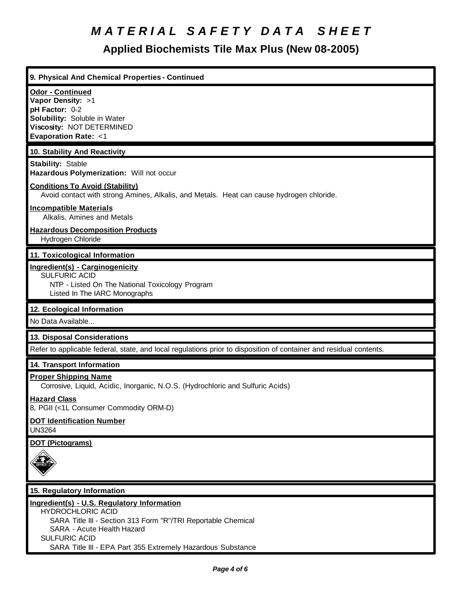### **Applied Biochemists Tile Max Plus (New 08-2005)**

| 9. Physical And Chemical Properties - Continued                                                                                                               |
|---------------------------------------------------------------------------------------------------------------------------------------------------------------|
| <b>Odor - Continued</b><br>Vapor Density: >1<br>pH Factor: 0-2<br>Solubility: Soluble in Water<br>Viscosity: NOT DETERMINED<br><b>Evaporation Rate: &lt;1</b> |
| 10. Stability And Reactivity                                                                                                                                  |
| <b>Stability: Stable</b><br>Hazardous Polymerization: Will not occur                                                                                          |
| <b>Conditions To Avoid (Stability)</b><br>Avoid contact with strong Amines, Alkalis, and Metals. Heat can cause hydrogen chloride.                            |
| <b>Incompatible Materials</b><br>Alkalis, Amines and Metals                                                                                                   |
| <b>Hazardous Decomposition Products</b><br>Hydrogen Chloride                                                                                                  |
| 11. Toxicological Information                                                                                                                                 |
| Ingredient(s) - Carginogenicity<br><b>SULFURIC ACID</b><br>NTP - Listed On The National Toxicology Program<br>Listed In The IARC Monographs                   |
| 12. Ecological Information                                                                                                                                    |
| No Data Available                                                                                                                                             |
| 13. Disposal Considerations                                                                                                                                   |
| Refer to applicable federal, state, and local regulations prior to disposition of container and residual contents.                                            |
| 14. Transport Information                                                                                                                                     |
| <b>Proper Shipping Name</b><br>Corrosive, Liquid, Acidic, Inorganic, N.O.S. (Hydrochloric and Sulfuric Acids)                                                 |
| <b>Hazard Class</b><br>8, PGII (<1L Consumer Commodity ORM-D)                                                                                                 |
| <b>DOT Identification Number</b><br><b>UN3264</b>                                                                                                             |
| <b>DOT (Pictograms)</b>                                                                                                                                       |
| 1 X<br>wa ne m                                                                                                                                                |
| 15. Regulatory Information                                                                                                                                    |
| Ingredient(s) - U.S. Regulatory Information<br><b>HYDROCHLORIC ACID</b>                                                                                       |

SARA Title III - Section 313 Form "R"/TRI Reportable Chemical

 SARA - Acute Health Hazard SULFURIC ACID

SARA Title III - EPA Part 355 Extremely Hazardous Substance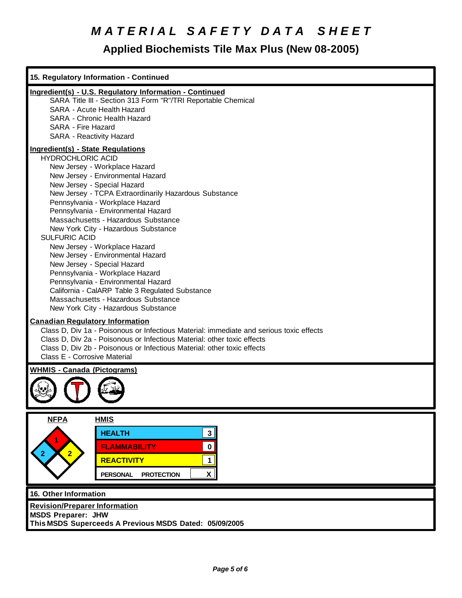### **Applied Biochemists Tile Max Plus (New 08-2005)**

| 15. Regulatory Information - Continued                                                                                                                                                                                                                                                                                                                                                                                                                                                                                                                                                                                                                                                                                             |
|------------------------------------------------------------------------------------------------------------------------------------------------------------------------------------------------------------------------------------------------------------------------------------------------------------------------------------------------------------------------------------------------------------------------------------------------------------------------------------------------------------------------------------------------------------------------------------------------------------------------------------------------------------------------------------------------------------------------------------|
| Ingredient(s) - U.S. Regulatory Information - Continued<br>SARA Title III - Section 313 Form "R"/TRI Reportable Chemical<br><b>SARA - Acute Health Hazard</b><br>SARA - Chronic Health Hazard<br>SARA - Fire Hazard<br>SARA - Reactivity Hazard                                                                                                                                                                                                                                                                                                                                                                                                                                                                                    |
| <b>Ingredient(s) - State Regulations</b><br><b>HYDROCHLORIC ACID</b><br>New Jersey - Workplace Hazard<br>New Jersey - Environmental Hazard<br>New Jersey - Special Hazard<br>New Jersey - TCPA Extraordinarily Hazardous Substance<br>Pennsylvania - Workplace Hazard<br>Pennsylvania - Environmental Hazard<br>Massachusetts - Hazardous Substance<br>New York City - Hazardous Substance<br><b>SULFURIC ACID</b><br>New Jersey - Workplace Hazard<br>New Jersey - Environmental Hazard<br>New Jersey - Special Hazard<br>Pennsylvania - Workplace Hazard<br>Pennsylvania - Environmental Hazard<br>California - CalARP Table 3 Regulated Substance<br>Massachusetts - Hazardous Substance<br>New York City - Hazardous Substance |
| <b>Canadian Regulatory Information</b><br>Class D, Div 1a - Poisonous or Infectious Material: immediate and serious toxic effects<br>Class D, Div 2a - Poisonous or Infectious Material: other toxic effects<br>Class D, Div 2b - Poisonous or Infectious Material: other toxic effects<br>Class E - Corrosive Material                                                                                                                                                                                                                                                                                                                                                                                                            |
| <b>WHMIS - Canada (Pictograms)</b>                                                                                                                                                                                                                                                                                                                                                                                                                                                                                                                                                                                                                                                                                                 |
| <b>NFPA</b><br><b>HMIS</b><br><b>HEALTH</b><br>3 <sup>1</sup><br>$\pmb{0}$<br><b>FLAMMABILITY</b><br>2 <sup>1</sup><br><b>REACTIVITY</b><br>$\mathbf{1}$<br>$\mathsf{x}$<br><b>PERSONAL</b><br><b>PROTECTION</b><br>16. Other Information                                                                                                                                                                                                                                                                                                                                                                                                                                                                                          |
| <b>Revision/Preparer Information</b><br><b>MSDS Preparer: JHW</b><br>This MSDS Superceeds A Previous MSDS Dated: 05/09/2005                                                                                                                                                                                                                                                                                                                                                                                                                                                                                                                                                                                                        |